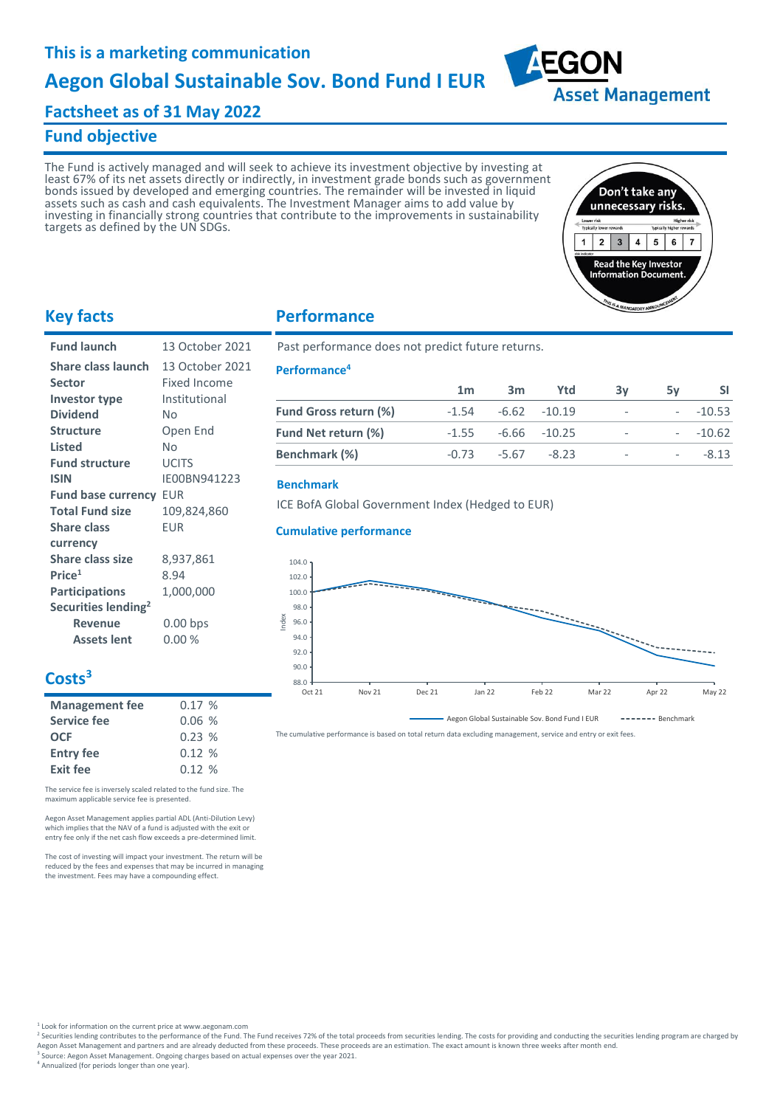# **Factsheet as of 31 May 2022**

### **Fund objective**

The Fund is actively managed and will seek to achieve its investment objective by investing at least 67% of its net assets directly or indirectly, in investment grade bonds such as government bonds issued by developed and emerging countries. The remainder will be invested in liquid assets such as cash and cash equivalents. The Investment Manager aims to add value by investing in financially strong countries that contribute to the improvements in sustainability targets as defined by the UN SDGs.



**Asset Management** 

**AEGON** 

## **Key facts**

| 13 October 2021                         |
|-----------------------------------------|
| 13 October 2021                         |
| <b>Fixed Income</b>                     |
| Institutional                           |
| N٥                                      |
| Open End                                |
| Nο                                      |
| <b>UCITS</b>                            |
| IE00BN941223                            |
| <b>Fund base currency</b><br><b>EUR</b> |
| 109,824,860                             |
| <b>EUR</b>                              |
|                                         |
| 8,937,861                               |
| 8.94                                    |
| 1,000,000                               |
|                                         |
| $0.00$ bps                              |
| 0.00%                                   |
|                                         |

### **Performance**

Past performance does not predict future returns.

#### **Performance<sup>4</sup>**

|                              | 1 <sub>m</sub> | 3m                     | Ytd             | 3v                           | 5۷                       |          |
|------------------------------|----------------|------------------------|-----------------|------------------------------|--------------------------|----------|
| <b>Fund Gross return (%)</b> | $-1.54$        |                        | $-6.62 - 10.19$ | $\overline{\phantom{a}}$     |                          | $-10.53$ |
| <b>Fund Net return (%)</b>   |                | $-1.55 - 6.66 - 10.25$ |                 | $\overline{\phantom{a}}$     |                          | $-10.62$ |
| Benchmark (%)                |                | $-0.73 -5.67$          | $-8.23$         | $\qquad \qquad \blacksquare$ | $\overline{\phantom{a}}$ | $-8.13$  |

### **Benchmark**

ICE BofA Global Government Index (Hedged to EUR)

### **Cumulative performance**



The cumulative performance is based on total return data excluding management, service and entry or exit fees.

# **Costs<sup>3</sup>**

| <b>Management fee</b> | 0.17% |
|-----------------------|-------|
| <b>Service fee</b>    | 0.06% |
| <b>OCF</b>            | 0.23% |
| <b>Entry fee</b>      | 0.12% |
| <b>Exit fee</b>       | 0.12% |

The service fee is inversely scaled related to the fund size. The maximum applicable service fee is presented.

Aegon Asset Management applies partial ADL (Anti-Dilution Levy) which implies that the NAV of a fund is adjusted with the exit or entry fee only if the net cash flow exceeds a pre-determined limit.

The cost of investing will impact your investment. The return will be reduced by the fees and expenses that may be incurred in managing the investment. Fees may have a compounding effect.

<sup>1</sup> Look for information on the current price at www.aegonam.com

- <sup>2</sup> Securities lending contributes to the performance of the Fund. The Fund receives 72% of the total proceeds from securities lending. The costs for providing and conducting the securities lending program are charged by
- Aegon Asset Management and partners and are already deducted from these proceeds. These proceeds are an estimation. The exact amount is known three weeks after month end.<br>3 Source: Aegon Asset Management, Ongoing charges b

Source: Aegon Asset Management. Ongoing charges based on actual expenses over the year 2021. <sup>4</sup> Annualized (for periods longer than one year).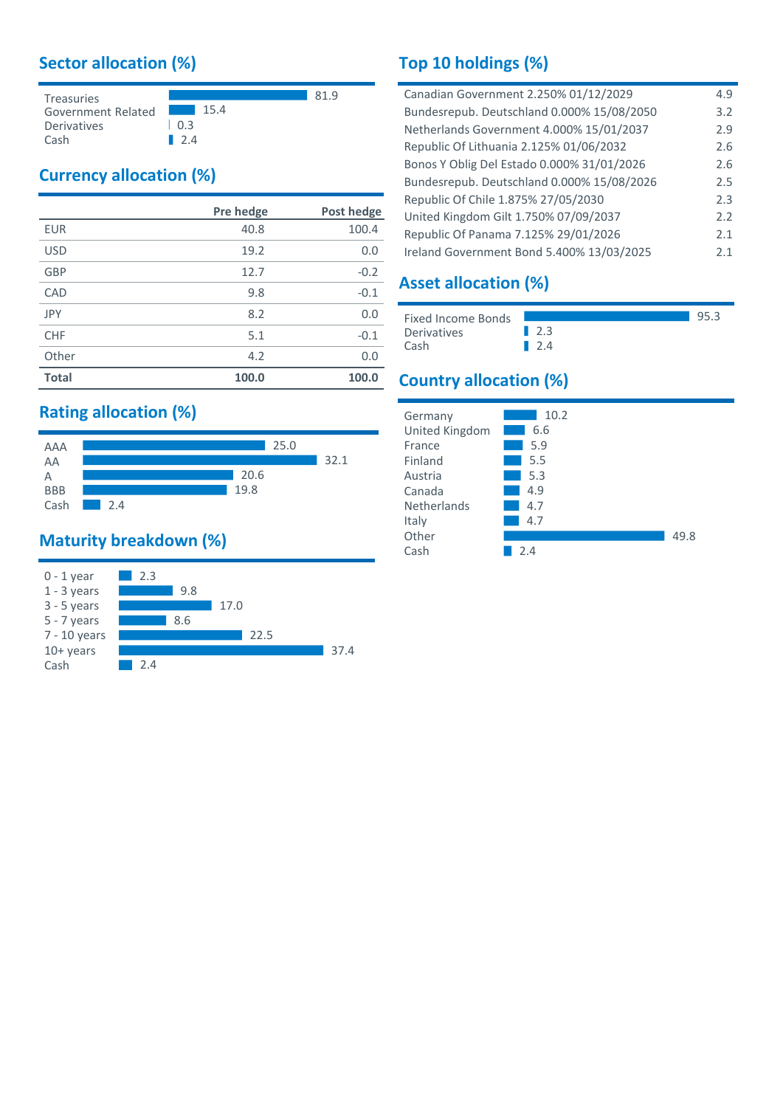# **Sector allocation (%)**



# **Currency allocation (%)**

|              | Pre hedge | Post hedge |
|--------------|-----------|------------|
| <b>EUR</b>   | 40.8      | 100.4      |
| <b>USD</b>   | 19.2      | 0.0        |
| <b>GBP</b>   | 12.7      | $-0.2$     |
| CAD          | 9.8       | $-0.1$     |
| <b>JPY</b>   | 8.2       | 0.0        |
| <b>CHF</b>   | 5.1       | $-0.1$     |
| Other        | 4.2       | 0.0        |
| <b>Total</b> | 100.0     | 100.0      |

# **Rating allocation (%)**



# **Maturity breakdown (%)**



# **Top 10 holdings (%)**

| Canadian Government 2.250% 01/12/2029      | 4.9 |
|--------------------------------------------|-----|
| Bundesrepub. Deutschland 0.000% 15/08/2050 | 3.2 |
| Netherlands Government 4.000% 15/01/2037   | 2.9 |
| Republic Of Lithuania 2.125% 01/06/2032    | 2.6 |
| Bonos Y Oblig Del Estado 0.000% 31/01/2026 | 2.6 |
| Bundesrepub. Deutschland 0.000% 15/08/2026 | 2.5 |
| Republic Of Chile 1.875% 27/05/2030        | 2.3 |
| United Kingdom Gilt 1.750% 07/09/2037      | 2.2 |
| Republic Of Panama 7.125% 29/01/2026       | 2.1 |
| Ireland Government Bond 5.400% 13/03/2025  | 2.1 |
|                                            |     |

# **Asset allocation (%)**

| <b>Fixed Income Bonds</b> |                    | 95.3 |
|---------------------------|--------------------|------|
| Derivatives               | $\blacksquare$ 2.3 |      |
| Cash                      | 124                |      |

# **Country allocation (%)**

| Germany        | 10.2 |      |
|----------------|------|------|
| United Kingdom | 6.6  |      |
| France         | 5.9  |      |
| Finland        | 5.5  |      |
| Austria        | 5.3  |      |
| Canada         | 4.9  |      |
| Netherlands    | 4.7  |      |
| Italy          | 4.7  |      |
| Other          |      | 49.8 |
| Cash           | 24   |      |